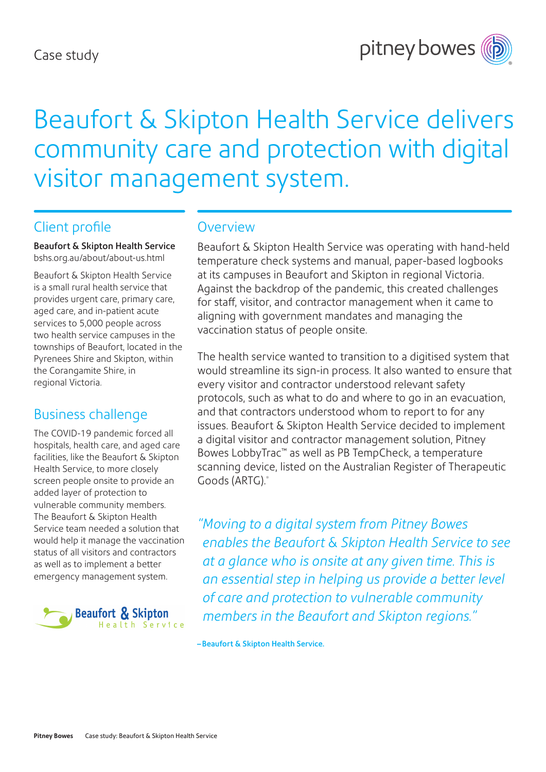

# Beaufort & Skipton Health Service delivers community care and protection with digital visitor management system.

#### Client profile

Beaufort & Skipton Health Service [bshs.org.au/about/about-us.html](http://bshs.org.au/about/about-us.html)

Beaufort & Skipton Health Service is a small rural health service that provides urgent care, primary care, aged care, and in-patient acute services to 5,000 people across two health service campuses in the townships of Beaufort, located in the Pyrenees Shire and Skipton, within the Corangamite Shire, in regional Victoria.

#### Business challenge

The COVID-19 pandemic forced all hospitals, health care, and aged care facilities, like the Beaufort & Skipton Health Service, to more closely screen people onsite to provide an added layer of protection to vulnerable community members. The Beaufort & Skipton Health Service team needed a solution that would help it manage the vaccination status of all visitors and contractors as well as to implement a better emergency management system.



#### **Overview**

Beaufort & Skipton Health Service was operating with hand-held temperature check systems and manual, paper-based logbooks at its campuses in Beaufort and Skipton in regional Victoria. Against the backdrop of the pandemic, this created challenges for staff, visitor, and contractor management when it came to aligning with government mandates and managing the vaccination status of people onsite.

The health service wanted to transition to a digitised system that would streamline its sign-in process. It also wanted to ensure that every visitor and contractor understood relevant safety protocols, such as what to do and where to go in an evacuation, and that contractors understood whom to report to for any issues. Beaufort & Skipton Health Service decided to implement a digital visitor and contractor management solution, Pitney Bowes LobbyTrac™ as well as PB TempCheck, a temperature scanning device, listed on the Australian Register of Therapeutic Goods (ARTG).\*

*"Moving to a digital system from Pitney Bowes enables the Beaufort & Skipton Health Service to see at a glance who is onsite at any given time. This is an essential step in helping us provide a better level of care and protection to vulnerable community members in the Beaufort and Skipton regions."*

–Beaufort & Skipton Health Service.